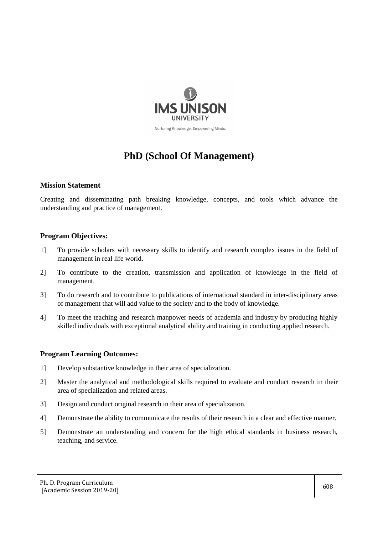

# **PhD (School Of Management)**

## **Mission Statement**

Creating and disseminating path breaking knowledge, concepts, and tools which advance the understanding and practice of management.

## **Program Objectives:**

- 1] To provide scholars with necessary skills to identify and research complex issues in the field of management in real life world.
- 2] To contribute to the creation, transmission and application of knowledge in the field of management.
- 3] To do research and to contribute to publications of international standard in inter-disciplinary areas of management that will add value to the society and to the body of knowledge.
- 4] To meet the teaching and research manpower needs of academia and industry by producing highly skilled individuals with exceptional analytical ability and training in conducting applied research.

## **Program Learning Outcomes:**

- 1] Develop substantive knowledge in their area of specialization.
- 2] Master the analytical and methodological skills required to evaluate and conduct research in their area of specialization and related areas.
- 3] Design and conduct original research in their area of specialization.
- 4] Demonstrate the ability to communicate the results of their research in a clear and effective manner.
- 5] Demonstrate an understanding and concern for the high ethical standards in business research, teaching, and service.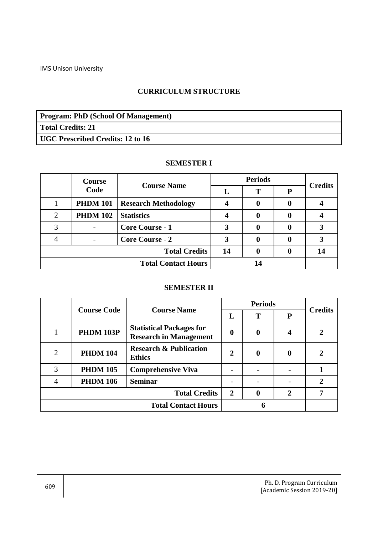## **CURRICULUM STRUCTURE**

**Program: PhD (School Of Management) Total Credits: 21 UGC Prescribed Credits: 12 to 16**

## **SEMESTER I**

|                            | Course          | <b>Course Name</b>          |    | <b>Periods</b> | <b>Credits</b> |    |
|----------------------------|-----------------|-----------------------------|----|----------------|----------------|----|
|                            | Code            |                             |    | т              | P              |    |
|                            | <b>PHDM 101</b> | <b>Research Methodology</b> |    |                |                |    |
|                            | <b>PHDM 102</b> | <b>Statistics</b>           |    |                |                |    |
|                            |                 | <b>Core Course - 1</b>      |    |                |                |    |
|                            |                 | <b>Core Course - 2</b>      | 3  | 0              |                |    |
| <b>Total Credits</b>       |                 |                             | 14 |                |                | 14 |
| <b>Total Contact Hours</b> |                 |                             |    |                |                |    |

## **SEMESTER II**

|                            | <b>Course Code</b> | <b>Course Name</b>                                               | <b>Periods</b> |                  | <b>Credits</b> |  |
|----------------------------|--------------------|------------------------------------------------------------------|----------------|------------------|----------------|--|
|                            |                    |                                                                  | L              | T                | ${\bf P}$      |  |
|                            | <b>PHDM 103P</b>   | <b>Statistical Packages for</b><br><b>Research in Management</b> | $\bf{0}$       | $\boldsymbol{0}$ | 4              |  |
| $\mathcal{D}_{\cdot}$      | <b>PHDM 104</b>    | <b>Research &amp; Publication</b><br><b>Ethics</b>               | $\overline{2}$ | $\bf{0}$         | 0              |  |
| 3                          | <b>PHDM 105</b>    | <b>Comprehensive Viva</b>                                        |                |                  |                |  |
|                            | <b>PHDM 106</b>    | <b>Seminar</b>                                                   |                |                  |                |  |
| <b>Total Credits</b>       |                    |                                                                  | $\overline{2}$ | $\bf{0}$         | $\overline{2}$ |  |
| <b>Total Contact Hours</b> |                    |                                                                  |                |                  |                |  |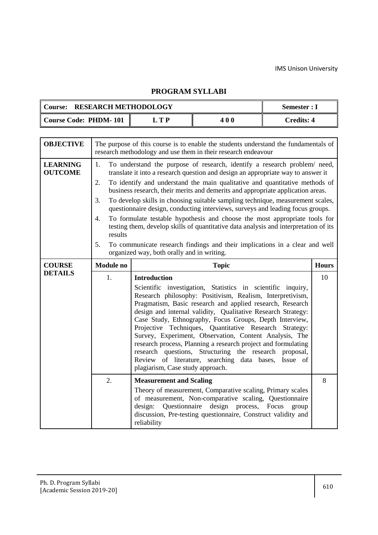## **PROGRAM SYLLABI**

| <b>RESEARCH METHODOLOGY</b><br><b>Course:</b> |    | Semester : I |            |
|-----------------------------------------------|----|--------------|------------|
| <b>Course Code: PHDM-101</b>                  | TD | 400          | Credits: 4 |

| <b>OBJECTIVE</b>                  | The purpose of this course is to enable the students understand the fundamentals of<br>research methodology and use them in their research endeavour |                                                                                                                                                                                                                                                                                                                                                                                                                                                                                                                                                                                                                                                                                                                                                                                                        |              |  |  |  |  |
|-----------------------------------|------------------------------------------------------------------------------------------------------------------------------------------------------|--------------------------------------------------------------------------------------------------------------------------------------------------------------------------------------------------------------------------------------------------------------------------------------------------------------------------------------------------------------------------------------------------------------------------------------------------------------------------------------------------------------------------------------------------------------------------------------------------------------------------------------------------------------------------------------------------------------------------------------------------------------------------------------------------------|--------------|--|--|--|--|
| <b>LEARNING</b><br><b>OUTCOME</b> | 1.<br>2.<br>3.<br>4.<br>results<br>5.                                                                                                                | To understand the purpose of research, identify a research problem/ need,<br>translate it into a research question and design an appropriate way to answer it<br>To identify and understand the main qualitative and quantitative methods of<br>business research, their merits and demerits and appropriate application areas.<br>To develop skills in choosing suitable sampling technique, measurement scales,<br>questionnaire design, conducting interviews, surveys and leading focus groups.<br>To formulate testable hypothesis and choose the most appropriate tools for<br>testing them, develop skills of quantitative data analysis and interpretation of its<br>To communicate research findings and their implications in a clear and well<br>organized way, both orally and in writing. |              |  |  |  |  |
| <b>COURSE</b>                     | <b>Module no</b>                                                                                                                                     | <b>Topic</b>                                                                                                                                                                                                                                                                                                                                                                                                                                                                                                                                                                                                                                                                                                                                                                                           | <b>Hours</b> |  |  |  |  |
| <b>DETAILS</b>                    | 1.                                                                                                                                                   | <b>Introduction</b><br>Scientific investigation, Statistics in scientific inquiry,<br>Research philosophy: Positivism, Realism, Interpretivism,<br>Pragmatism, Basic research and applied research, Research<br>design and internal validity, Qualitative Research Strategy:<br>Case Study, Ethnography, Focus Groups, Depth Interview,<br>Projective Techniques, Quantitative Research Strategy:<br>Survey, Experiment, Observation, Content Analysis, The<br>research process, Planning a research project and formulating<br>research questions, Structuring the research proposal,<br>Review of literature, searching data bases, Issue of<br>plagiarism, Case study approach.                                                                                                                     | 10           |  |  |  |  |
|                                   | $\overline{2}$ .                                                                                                                                     | <b>Measurement and Scaling</b><br>Theory of measurement, Comparative scaling, Primary scales<br>of measurement, Non-comparative scaling, Questionnaire                                                                                                                                                                                                                                                                                                                                                                                                                                                                                                                                                                                                                                                 | 8            |  |  |  |  |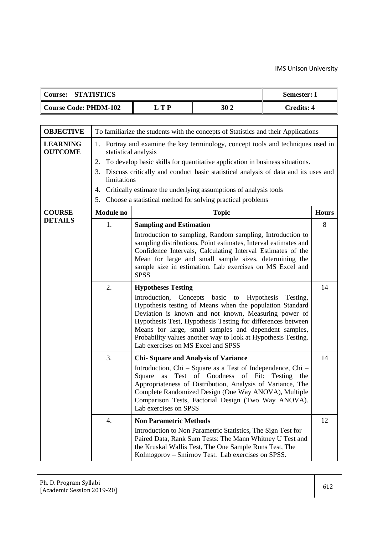| <b>STATISTICS</b><br><b>Course:</b> | <b>Semester: I</b> |            |            |
|-------------------------------------|--------------------|------------|------------|
| Course Code: PHDM-102               | T P                | <b>302</b> | Credits: 4 |

| <b>OBJECTIVE</b>                  | To familiarize the students with the concepts of Statistics and their Applications |                                                                                                                                                                                                                                                                                                                                                                                                                                           |    |  |  |  |  |  |
|-----------------------------------|------------------------------------------------------------------------------------|-------------------------------------------------------------------------------------------------------------------------------------------------------------------------------------------------------------------------------------------------------------------------------------------------------------------------------------------------------------------------------------------------------------------------------------------|----|--|--|--|--|--|
| <b>LEARNING</b><br><b>OUTCOME</b> | 1.<br>2.<br>3.<br>4.<br>5.                                                         | Portray and examine the key terminology, concept tools and techniques used in<br>statistical analysis<br>To develop basic skills for quantitative application in business situations.<br>Discuss critically and conduct basic statistical analysis of data and its uses and<br>limitations<br>Critically estimate the underlying assumptions of analysis tools<br>Choose a statistical method for solving practical problems              |    |  |  |  |  |  |
| <b>COURSE</b>                     | <b>Module</b> no                                                                   | <b>Hours</b><br><b>Topic</b>                                                                                                                                                                                                                                                                                                                                                                                                              |    |  |  |  |  |  |
| <b>DETAILS</b>                    | 1.                                                                                 | <b>Sampling and Estimation</b>                                                                                                                                                                                                                                                                                                                                                                                                            | 8  |  |  |  |  |  |
|                                   |                                                                                    | Introduction to sampling, Random sampling, Introduction to<br>sampling distributions, Point estimates, Interval estimates and<br>Confidence Intervals, Calculating Interval Estimates of the<br>Mean for large and small sample sizes, determining the<br>sample size in estimation. Lab exercises on MS Excel and<br><b>SPSS</b>                                                                                                         |    |  |  |  |  |  |
|                                   | 2.                                                                                 | <b>Hypotheses Testing</b><br>Introduction,<br>Concepts basic to Hypothesis<br>Testing,<br>Hypothesis testing of Means when the population Standard<br>Deviation is known and not known, Measuring power of<br>Hypothesis Test, Hypothesis Testing for differences between<br>Means for large, small samples and dependent samples,<br>Probability values another way to look at Hypothesis Testing.<br>Lab exercises on MS Excel and SPSS | 14 |  |  |  |  |  |
|                                   | 3.                                                                                 | <b>Chi-Square and Analysis of Variance</b>                                                                                                                                                                                                                                                                                                                                                                                                | 14 |  |  |  |  |  |
|                                   |                                                                                    | Introduction, Chi – Square as a Test of Independence, Chi –<br>Test of Goodness<br>of Fit:<br>Square<br>Testing<br>as<br>the<br>Appropriateness of Distribution, Analysis of Variance, The<br>Complete Randomized Design (One Way ANOVA), Multiple<br>Comparison Tests, Factorial Design (Two Way ANOVA).<br>Lab exercises on SPSS                                                                                                        |    |  |  |  |  |  |
|                                   | 4.                                                                                 | <b>Non Parametric Methods</b><br>Introduction to Non Parametric Statistics, The Sign Test for<br>Paired Data, Rank Sum Tests: The Mann Whitney U Test and<br>the Kruskal Wallis Test, The One Sample Runs Test, The<br>Kolmogorov - Smirnov Test. Lab exercises on SPSS.                                                                                                                                                                  | 12 |  |  |  |  |  |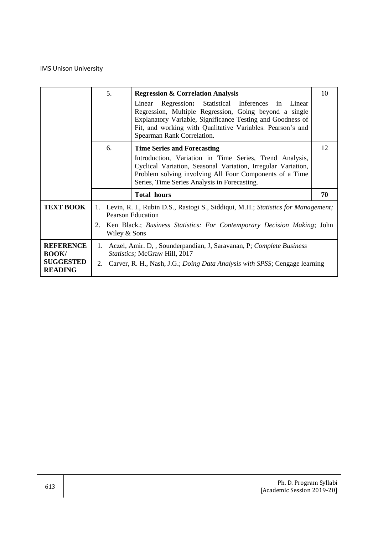|                                                                        | 5.                       | <b>Regression &amp; Correlation Analysis</b><br>Regression: Statistical Inferences in Linear<br>Linear<br>Regression, Multiple Regression, Going beyond a single<br>Explanatory Variable, Significance Testing and Goodness of<br>Fit, and working with Qualitative Variables. Pearson's and<br>Spearman Rank Correlation. | 10 |  |  |  |
|------------------------------------------------------------------------|--------------------------|----------------------------------------------------------------------------------------------------------------------------------------------------------------------------------------------------------------------------------------------------------------------------------------------------------------------------|----|--|--|--|
|                                                                        | 6.                       | <b>Time Series and Forecasting</b><br>Introduction, Variation in Time Series, Trend Analysis,<br>Cyclical Variation, Seasonal Variation, Irregular Variation,<br>Problem solving involving All Four Components of a Time<br>Series, Time Series Analysis in Forecasting.                                                   | 12 |  |  |  |
|                                                                        |                          | <b>Total hours</b>                                                                                                                                                                                                                                                                                                         | 70 |  |  |  |
| <b>TEXT BOOK</b>                                                       | 1.<br>2.<br>Wiley & Sons | Levin, R. I., Rubin D.S., Rastogi S., Siddiqui, M.H.; Statistics for Management;<br><b>Pearson Education</b><br>Ken Black.; Business Statistics: For Contemporary Decision Making; John                                                                                                                                    |    |  |  |  |
| <b>REFERENCE</b><br><b>BOOK/</b><br><b>SUGGESTED</b><br><b>READING</b> | 2.                       | 1. Aczel, Amir. D, , Sounderpandian, J, Saravanan, P; Complete Business<br>Statistics; McGraw Hill, 2017<br>Carver, R. H., Nash, J.G.; <i>Doing Data Analysis with SPSS</i> ; Cengage learning                                                                                                                             |    |  |  |  |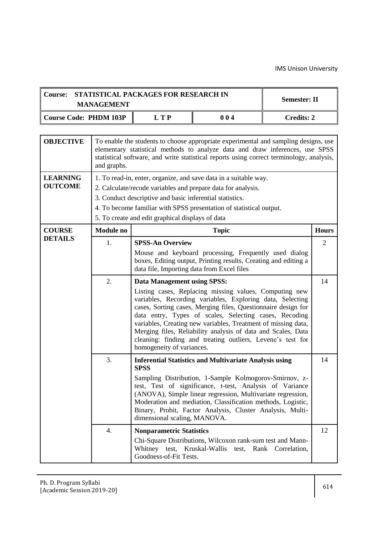$\overline{\phantom{0}}$ 

| STATISTICAL PACKAGES FOR RESEARCH IN<br><b>Course:</b><br><b>Semester: II</b><br><b>MANAGEMENT</b> |                  |                                                                                                                                                                                                                                                                                                                         |                                                                                                                                                                                                                                                                                                                                                                                                                                                                                                                                                                           |  |                      |  |  |  |  |  |
|----------------------------------------------------------------------------------------------------|------------------|-------------------------------------------------------------------------------------------------------------------------------------------------------------------------------------------------------------------------------------------------------------------------------------------------------------------------|---------------------------------------------------------------------------------------------------------------------------------------------------------------------------------------------------------------------------------------------------------------------------------------------------------------------------------------------------------------------------------------------------------------------------------------------------------------------------------------------------------------------------------------------------------------------------|--|----------------------|--|--|--|--|--|
| <b>Course Code: PHDM 103P</b><br><b>LTP</b><br>004<br><b>Credits: 2</b>                            |                  |                                                                                                                                                                                                                                                                                                                         |                                                                                                                                                                                                                                                                                                                                                                                                                                                                                                                                                                           |  |                      |  |  |  |  |  |
|                                                                                                    |                  |                                                                                                                                                                                                                                                                                                                         |                                                                                                                                                                                                                                                                                                                                                                                                                                                                                                                                                                           |  |                      |  |  |  |  |  |
| <b>OBJECTIVE</b>                                                                                   | and graphs.      | To enable the students to choose appropriate experimental and sampling designs, use<br>elementary statistical methods to analyze data and draw inferences, use SPSS<br>statistical software, and write statistical reports using correct terminology, analysis,                                                         |                                                                                                                                                                                                                                                                                                                                                                                                                                                                                                                                                                           |  |                      |  |  |  |  |  |
| <b>LEARNING</b><br><b>OUTCOME</b>                                                                  |                  | 1. To read-in, enter, organize, and save data in a suitable way.<br>2. Calculate/recode variables and prepare data for analysis.<br>3. Conduct descriptive and basic inferential statistics.<br>4. To become familiar with SPSS presentation of statistical output.<br>5. To create and edit graphical displays of data |                                                                                                                                                                                                                                                                                                                                                                                                                                                                                                                                                                           |  |                      |  |  |  |  |  |
| <b>COURSE</b>                                                                                      | <b>Module</b> no |                                                                                                                                                                                                                                                                                                                         | <b>Topic</b>                                                                                                                                                                                                                                                                                                                                                                                                                                                                                                                                                              |  | <b>Hours</b>         |  |  |  |  |  |
| <b>DETAILS</b>                                                                                     | 1.<br>2.         | <b>SPSS-An Overview</b><br>data file, Importing data from Excel files<br>Data Management using SPSS:<br>homogeneity of variances.                                                                                                                                                                                       | Mouse and keyboard processing, Frequently used dialog<br>boxes, Editing output, Printing results, Creating and editing a<br>Listing cases, Replacing missing values, Computing new<br>variables, Recording variables, Exploring data, Selecting<br>cases, Sorting cases, Merging files, Questionnaire design for<br>data entry, Types of scales, Selecting cases, Recoding<br>variables, Creating new variables, Treatment of missing data,<br>Merging files, Reliability analysis of data and Scales, Data<br>cleaning: finding and treating outliers, Levene's test for |  | $\overline{2}$<br>14 |  |  |  |  |  |
|                                                                                                    | 3.<br>4.         | <b>SPSS</b><br>dimensional scaling, MANOVA.<br><b>Nonparametric Statistics</b><br>Goodness-of-Fit Tests.                                                                                                                                                                                                                | <b>Inferential Statistics and Multivariate Analysis using</b><br>Sampling Distribution, 1-Sample Kolmogorov-Smirnov, z-<br>test, Test of significance, t-test, Analysis of Variance<br>(ANOVA), Simple linear regression, Multivariate regression,<br>Moderation and mediation, Classification methods, Logistic,<br>Binary, Probit, Factor Analysis, Cluster Analysis, Multi-<br>Chi-Square Distributions, Wilcoxon rank-sum test and Mann-<br>Whitney test, Kruskal-Wallis test, Rank Correlation,                                                                      |  | 14<br>12             |  |  |  |  |  |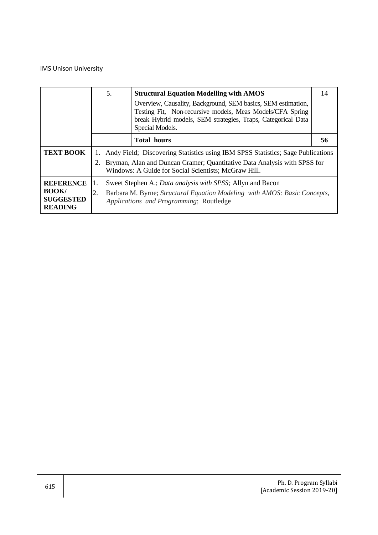|                                                                        |          | 5.                                                                                                                                                                                                                  | <b>Structural Equation Modelling with AMOS</b><br>Overview, Causality, Background, SEM basics, SEM estimation,<br>Testing Fit, Non-recursive models, Meas Models/CFA Spring<br>break Hybrid models, SEM strategies, Traps, Categorical Data<br>Special Models. | 14 |  |  |
|------------------------------------------------------------------------|----------|---------------------------------------------------------------------------------------------------------------------------------------------------------------------------------------------------------------------|----------------------------------------------------------------------------------------------------------------------------------------------------------------------------------------------------------------------------------------------------------------|----|--|--|
|                                                                        |          |                                                                                                                                                                                                                     | <b>Total hours</b>                                                                                                                                                                                                                                             | 56 |  |  |
| <b>TEXT BOOK</b>                                                       | Ι.<br>2. | Andy Field; Discovering Statistics using IBM SPSS Statistics; Sage Publications<br>Bryman, Alan and Duncan Cramer; Quantitative Data Analysis with SPSS for<br>Windows: A Guide for Social Scientists; McGraw Hill. |                                                                                                                                                                                                                                                                |    |  |  |
| <b>REFERENCE</b><br><b>BOOK/</b><br><b>SUGGESTED</b><br><b>READING</b> | 2.       |                                                                                                                                                                                                                     | Sweet Stephen A.; Data analysis with SPSS; Allyn and Bacon<br>Barbara M. Byrne; Structural Equation Modeling with AMOS: Basic Concepts,<br>Applications and Programming; Routledge                                                                             |    |  |  |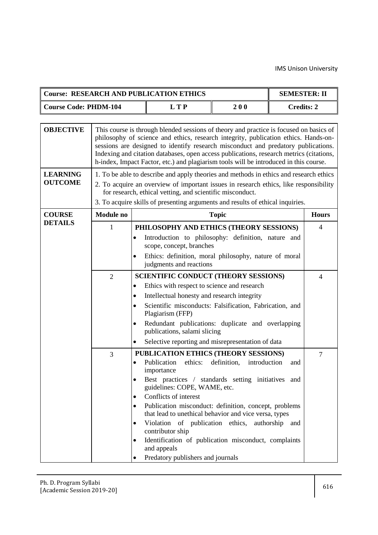|                                   | <b>Course: RESEARCH AND PUBLICATION ETHICS</b><br><b>SEMESTER: II</b>                                                        |                                                                                                                                                                                                                                                                                                                                                                                                                                                        |                                                                                                                                                                    |                             |                   |                |  |  |  |
|-----------------------------------|------------------------------------------------------------------------------------------------------------------------------|--------------------------------------------------------------------------------------------------------------------------------------------------------------------------------------------------------------------------------------------------------------------------------------------------------------------------------------------------------------------------------------------------------------------------------------------------------|--------------------------------------------------------------------------------------------------------------------------------------------------------------------|-----------------------------|-------------------|----------------|--|--|--|
| <b>Course Code: PHDM-104</b>      |                                                                                                                              |                                                                                                                                                                                                                                                                                                                                                                                                                                                        | <b>LTP</b>                                                                                                                                                         | 200                         | <b>Credits: 2</b> |                |  |  |  |
|                                   |                                                                                                                              |                                                                                                                                                                                                                                                                                                                                                                                                                                                        |                                                                                                                                                                    |                             |                   |                |  |  |  |
| <b>OBJECTIVE</b>                  |                                                                                                                              | This course is through blended sessions of theory and practice is focused on basics of<br>philosophy of science and ethics, research integrity, publication ethics. Hands-on-<br>sessions are designed to identify research misconduct and predatory publications.<br>Indexing and citation databases, open access publications, research metrics (citations,<br>h-index, Impact Factor, etc.) and plagiarism tools will be introduced in this course. |                                                                                                                                                                    |                             |                   |                |  |  |  |
| <b>LEARNING</b><br><b>OUTCOME</b> |                                                                                                                              | 1. To be able to describe and apply theories and methods in ethics and research ethics<br>2. To acquire an overview of important issues in research ethics, like responsibility<br>for research, ethical vetting, and scientific misconduct.<br>3. To acquire skills of presenting arguments and results of ethical inquiries.                                                                                                                         |                                                                                                                                                                    |                             |                   |                |  |  |  |
| <b>COURSE</b>                     | <b>Module</b> no                                                                                                             |                                                                                                                                                                                                                                                                                                                                                                                                                                                        |                                                                                                                                                                    | <b>Topic</b>                |                   | <b>Hours</b>   |  |  |  |
| <b>DETAILS</b>                    | 1                                                                                                                            |                                                                                                                                                                                                                                                                                                                                                                                                                                                        | PHILOSOPHY AND ETHICS (THEORY SESSIONS)                                                                                                                            |                             |                   | $\overline{4}$ |  |  |  |
|                                   |                                                                                                                              |                                                                                                                                                                                                                                                                                                                                                                                                                                                        | Introduction to philosophy: definition, nature and<br>scope, concept, branches<br>Ethics: definition, moral philosophy, nature of moral<br>judgments and reactions |                             |                   |                |  |  |  |
|                                   | $\overline{2}$                                                                                                               | <b>SCIENTIFIC CONDUCT (THEORY SESSIONS)</b>                                                                                                                                                                                                                                                                                                                                                                                                            | 4                                                                                                                                                                  |                             |                   |                |  |  |  |
|                                   |                                                                                                                              | $\bullet$                                                                                                                                                                                                                                                                                                                                                                                                                                              | Ethics with respect to science and research                                                                                                                        |                             |                   |                |  |  |  |
|                                   |                                                                                                                              | ٠                                                                                                                                                                                                                                                                                                                                                                                                                                                      | Intellectual honesty and research integrity                                                                                                                        |                             |                   |                |  |  |  |
|                                   |                                                                                                                              |                                                                                                                                                                                                                                                                                                                                                                                                                                                        | Scientific misconducts: Falsification, Fabrication, and<br>Plagiarism (FFP)                                                                                        |                             |                   |                |  |  |  |
|                                   |                                                                                                                              |                                                                                                                                                                                                                                                                                                                                                                                                                                                        | Redundant publications: duplicate and overlapping<br>publications, salami slicing                                                                                  |                             |                   |                |  |  |  |
|                                   |                                                                                                                              | ٠                                                                                                                                                                                                                                                                                                                                                                                                                                                      | Selective reporting and misrepresentation of data                                                                                                                  |                             |                   |                |  |  |  |
|                                   | 3                                                                                                                            |                                                                                                                                                                                                                                                                                                                                                                                                                                                        | PUBLICATION ETHICS (THEORY SESSIONS)                                                                                                                               |                             |                   | $\overline{7}$ |  |  |  |
|                                   |                                                                                                                              |                                                                                                                                                                                                                                                                                                                                                                                                                                                        | ethics:<br>Publication<br>importance                                                                                                                               | definition,<br>introduction | and               |                |  |  |  |
|                                   |                                                                                                                              |                                                                                                                                                                                                                                                                                                                                                                                                                                                        | Best practices / standards setting initiatives and<br>guidelines: COPE, WAME, etc.                                                                                 |                             |                   |                |  |  |  |
|                                   |                                                                                                                              |                                                                                                                                                                                                                                                                                                                                                                                                                                                        | Conflicts of interest                                                                                                                                              |                             |                   |                |  |  |  |
|                                   |                                                                                                                              |                                                                                                                                                                                                                                                                                                                                                                                                                                                        | Publication misconduct: definition, concept, problems                                                                                                              |                             |                   |                |  |  |  |
|                                   | that lead to unethical behavior and vice versa, types<br>Violation of publication ethics, authorship and<br>contributor ship |                                                                                                                                                                                                                                                                                                                                                                                                                                                        |                                                                                                                                                                    |                             |                   |                |  |  |  |
|                                   |                                                                                                                              |                                                                                                                                                                                                                                                                                                                                                                                                                                                        | Identification of publication misconduct, complaints<br>and appeals                                                                                                |                             |                   |                |  |  |  |
|                                   |                                                                                                                              |                                                                                                                                                                                                                                                                                                                                                                                                                                                        | Predatory publishers and journals                                                                                                                                  |                             |                   |                |  |  |  |